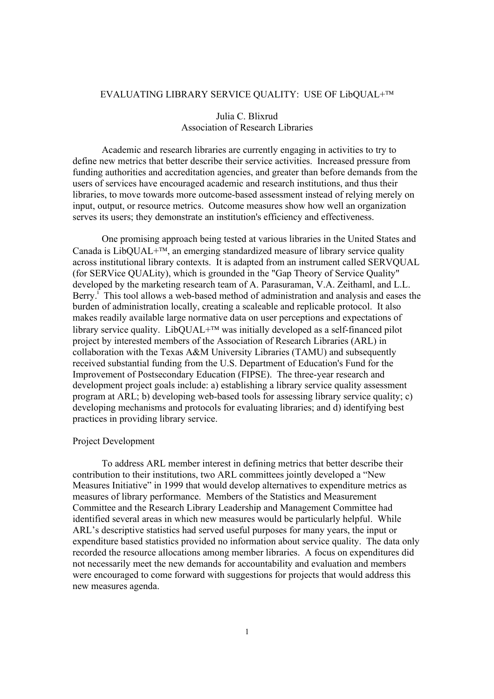#### EVALUATING LIBRARY SERVICE QUALITY: USE OF LibQUAL+

# Julia C. Blixrud Association of Research Libraries

Academic and research libraries are currently engaging in activities to try to define new metrics that better describe their service activities. Increased pressure from funding authorities and accreditation agencies, and greater than before demands from the users of services have encouraged academic and research institutions, and thus their libraries, to move towards more outcome-based assessment instead of relying merely on input, output, or resource metrics. Outcome measures show how well an organization serves its users; they demonstrate an institution's efficiency and effectiveness.

One promising approach being tested at various libraries in the United States and Canada is LibOUAL $+^{TM}$ , an emerging standardized measure of library service quality across institutional library contexts. It is adapted from an instrument called SERVQUAL (for SERVice QUALity), which is grounded in the "Gap Theory of Service Quality" developed by the marketing research team of A. Parasuraman, V.A. Zeithaml, and L.L. Berry.<sup>1</sup> This tool allows a web-based method of administration and analysis and eases the burden of administration locally, creating a scaleable and replicable protocol. It also makes readily available large normative data on user perceptions and expectations of library service quality. LibQUAL $+^{TM}$  was initially developed as a self-financed pilot project by interested members of the Association of Research Libraries (ARL) in collaboration with the Texas A&M University Libraries (TAMU) and subsequently received substantial funding from the U.S. Department of Education's Fund for the Improvement of Postsecondary Education (FIPSE). The three-year research and development project goals include: a) establishing a library service quality assessment program at ARL; b) developing web-based tools for assessing library service quality; c) developing mechanisms and protocols for evaluating libraries; and d) identifying best practices in providing library service.

#### Project Development

 To address ARL member interest in defining metrics that better describe their contribution to their institutions, two ARL committees jointly developed a "New Measures Initiative" in 1999 that would develop alternatives to expenditure metrics as measures of library performance. Members of the Statistics and Measurement Committee and the Research Library Leadership and Management Committee had identified several areas in which new measures would be particularly helpful. While ARL's descriptive statistics had served useful purposes for many years, the input or expenditure based statistics provided no information about service quality. The data only recorded the resource allocations among member libraries. A focus on expenditures did not necessarily meet the new demands for accountability and evaluation and members were encouraged to come forward with suggestions for projects that would address this new measures agenda.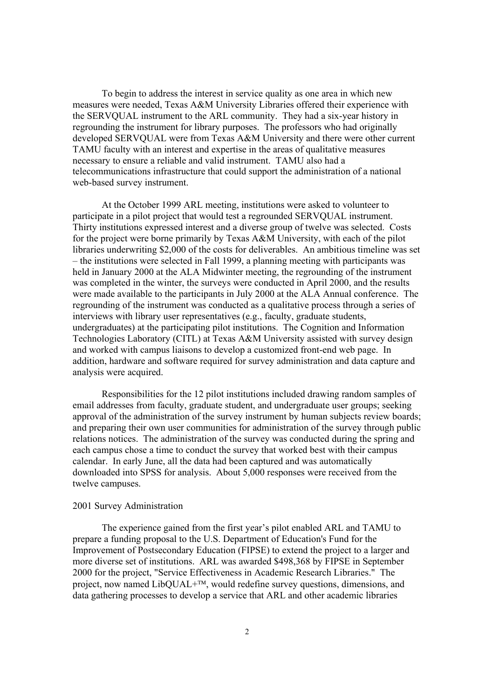To begin to address the interest in service quality as one area in which new measures were needed, Texas A&M University Libraries offered their experience with the SERVQUAL instrument to the ARL community. They had a six-year history in regrounding the instrument for library purposes. The professors who had originally developed SERVQUAL were from Texas A&M University and there were other current TAMU faculty with an interest and expertise in the areas of qualitative measures necessary to ensure a reliable and valid instrument. TAMU also had a telecommunications infrastructure that could support the administration of a national web-based survey instrument.

 At the October 1999 ARL meeting, institutions were asked to volunteer to participate in a pilot project that would test a regrounded SERVQUAL instrument. Thirty institutions expressed interest and a diverse group of twelve was selected. Costs for the project were borne primarily by Texas A&M University, with each of the pilot libraries underwriting \$2,000 of the costs for deliverables. An ambitious timeline was set – the institutions were selected in Fall 1999, a planning meeting with participants was held in January 2000 at the ALA Midwinter meeting, the regrounding of the instrument was completed in the winter, the surveys were conducted in April 2000, and the results were made available to the participants in July 2000 at the ALA Annual conference. The regrounding of the instrument was conducted as a qualitative process through a series of interviews with library user representatives (e.g., faculty, graduate students, undergraduates) at the participating pilot institutions. The Cognition and Information Technologies Laboratory (CITL) at Texas A&M University assisted with survey design and worked with campus liaisons to develop a customized front-end web page. In addition, hardware and software required for survey administration and data capture and analysis were acquired.

 Responsibilities for the 12 pilot institutions included drawing random samples of email addresses from faculty, graduate student, and undergraduate user groups; seeking approval of the administration of the survey instrument by human subjects review boards; and preparing their own user communities for administration of the survey through public relations notices. The administration of the survey was conducted during the spring and each campus chose a time to conduct the survey that worked best with their campus calendar. In early June, all the data had been captured and was automatically downloaded into SPSS for analysis. About 5,000 responses were received from the twelve campuses.

### 2001 Survey Administration

 The experience gained from the first year's pilot enabled ARL and TAMU to prepare a funding proposal to the U.S. Department of Education's Fund for the Improvement of Postsecondary Education (FIPSE) to extend the project to a larger and more diverse set of institutions. ARL was awarded \$498,368 by FIPSE in September 2000 for the project, "Service Effectiveness in Academic Research Libraries." The project, now named LibQUAL+<sup>TM</sup>, would redefine survey questions, dimensions, and data gathering processes to develop a service that ARL and other academic libraries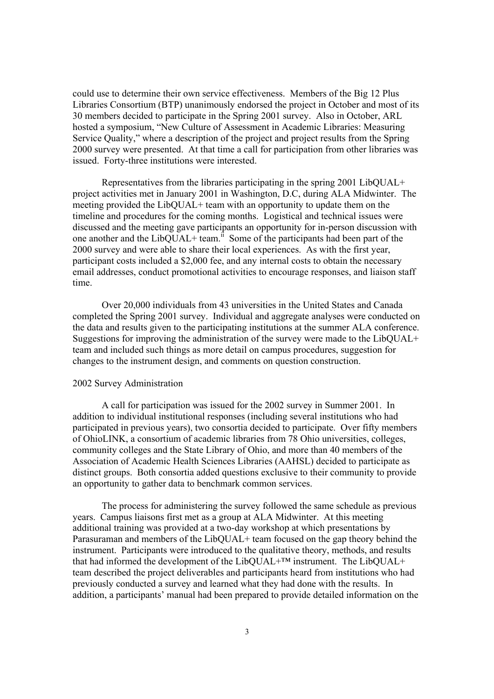could use to determine their own service effectiveness. Members of the Big 12 Plus Libraries Consortium (BTP) unanimously endorsed the project in October and most of its 30 members decided to participate in the Spring 2001 survey. Also in October, ARL hosted a symposium, "New Culture of Assessment in Academic Libraries: Measuring Service Quality," where a description of the project and project results from the Spring 2000 survey were presented. At that time a call for participation from other libraries was issued. Forty-three institutions were interested.

 Representatives from the libraries participating in the spring 2001 LibQUAL+ project activities met in January 2001 in Washington, D.C, during ALA Midwinter. The meeting provided the LibQUAL+ team with an opportunity to update them on the timeline and procedures for the coming months. Logistical and technical issues were discussed and the meeting gave participants an opportunity for in-person discussion with one another and the LibQUAL+ team.<sup>ii</sup> Some of the participants had been part of the 2000 survey and were able to share their local experiences. As with the first year, participant costs included a \$2,000 fee, and any internal costs to obtain the necessary email addresses, conduct promotional activities to encourage responses, and liaison staff time.

Over 20,000 individuals from 43 universities in the United States and Canada completed the Spring 2001 survey. Individual and aggregate analyses were conducted on the data and results given to the participating institutions at the summer ALA conference. Suggestions for improving the administration of the survey were made to the LibQUAL+ team and included such things as more detail on campus procedures, suggestion for changes to the instrument design, and comments on question construction.

## 2002 Survey Administration

 A call for participation was issued for the 2002 survey in Summer 2001. In addition to individual institutional responses (including several institutions who had participated in previous years), two consortia decided to participate. Over fifty members of OhioLINK, a consortium of academic libraries from 78 Ohio universities, colleges, community colleges and the State Library of Ohio, and more than 40 members of the Association of Academic Health Sciences Libraries (AAHSL) decided to participate as distinct groups. Both consortia added questions exclusive to their community to provide an opportunity to gather data to benchmark common services.

 The process for administering the survey followed the same schedule as previous years. Campus liaisons first met as a group at ALA Midwinter. At this meeting additional training was provided at a two-day workshop at which presentations by Parasuraman and members of the LibQUAL+ team focused on the gap theory behind the instrument. Participants were introduced to the qualitative theory, methods, and results that had informed the development of the LibQUAL<sup>+™</sup> instrument. The LibQUAL<sup>+</sup> team described the project deliverables and participants heard from institutions who had previously conducted a survey and learned what they had done with the results. In addition, a participants' manual had been prepared to provide detailed information on the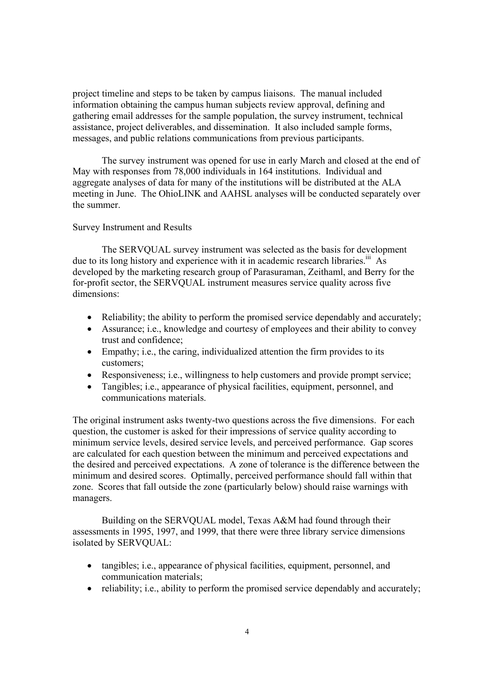project timeline and steps to be taken by campus liaisons. The manual included information obtaining the campus human subjects review approval, defining and gathering email addresses for the sample population, the survey instrument, technical assistance, project deliverables, and dissemination. It also included sample forms, messages, and public relations communications from previous participants.

 The survey instrument was opened for use in early March and closed at the end of May with responses from 78,000 individuals in 164 institutions. Individual and aggregate analyses of data for many of the institutions will be distributed at the ALA meeting in June. The OhioLINK and AAHSL analyses will be conducted separately over the summer.

### Survey Instrument and Results

 The SERVQUAL survey instrument was selected as the basis for development due to its long history and experience with it in academic research libraries.<sup>iii</sup> As developed by the marketing research group of Parasuraman, Zeithaml, and Berry for the for-profit sector, the SERVQUAL instrument measures service quality across five dimensions:

- Reliability; the ability to perform the promised service dependably and accurately;
- Assurance; i.e., knowledge and courtesy of employees and their ability to convey trust and confidence;
- Empathy; i.e., the caring, individualized attention the firm provides to its customers;
- Responsiveness; i.e., willingness to help customers and provide prompt service;
- Tangibles: i.e., appearance of physical facilities, equipment, personnel, and communications materials.

The original instrument asks twenty-two questions across the five dimensions. For each question, the customer is asked for their impressions of service quality according to minimum service levels, desired service levels, and perceived performance. Gap scores are calculated for each question between the minimum and perceived expectations and the desired and perceived expectations. A zone of tolerance is the difference between the minimum and desired scores. Optimally, perceived performance should fall within that zone. Scores that fall outside the zone (particularly below) should raise warnings with managers.

 Building on the SERVQUAL model, Texas A&M had found through their assessments in 1995, 1997, and 1999, that there were three library service dimensions isolated by SERVQUAL:

- tangibles; i.e., appearance of physical facilities, equipment, personnel, and communication materials;
- reliability; i.e., ability to perform the promised service dependably and accurately;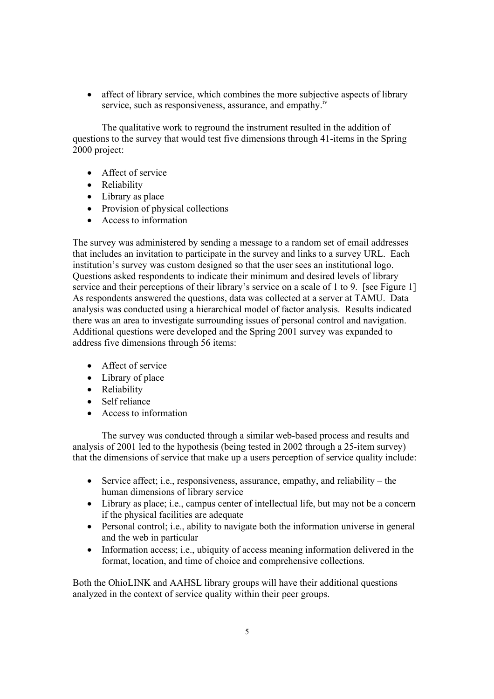• affect of library service, which combines the more subjective aspects of library service, such as responsiveness, assurance, and empathy.<sup>iv</sup>

 The qualitative work to reground the instrument resulted in the addition of questions to the survey that would test five dimensions through 41-items in the Spring 2000 project:

- Affect of service
- Reliability
- Library as place
- Provision of physical collections
- Access to information

The survey was administered by sending a message to a random set of email addresses that includes an invitation to participate in the survey and links to a survey URL. Each institution's survey was custom designed so that the user sees an institutional logo. Questions asked respondents to indicate their minimum and desired levels of library service and their perceptions of their library's service on a scale of 1 to 9. [see Figure 1] As respondents answered the questions, data was collected at a server at TAMU. Data analysis was conducted using a hierarchical model of factor analysis. Results indicated there was an area to investigate surrounding issues of personal control and navigation. Additional questions were developed and the Spring 2001 survey was expanded to address five dimensions through 56 items:

- Affect of service
- Library of place
- Reliability
- Self reliance
- Access to information

 The survey was conducted through a similar web-based process and results and analysis of 2001 led to the hypothesis (being tested in 2002 through a 25-item survey) that the dimensions of service that make up a users perception of service quality include:

- Service affect; i.e., responsiveness, assurance, empathy, and reliability the human dimensions of library service
- Library as place; i.e., campus center of intellectual life, but may not be a concern if the physical facilities are adequate
- Personal control; i.e., ability to navigate both the information universe in general and the web in particular
- Information access; i.e., ubiquity of access meaning information delivered in the format, location, and time of choice and comprehensive collections.

Both the OhioLINK and AAHSL library groups will have their additional questions analyzed in the context of service quality within their peer groups.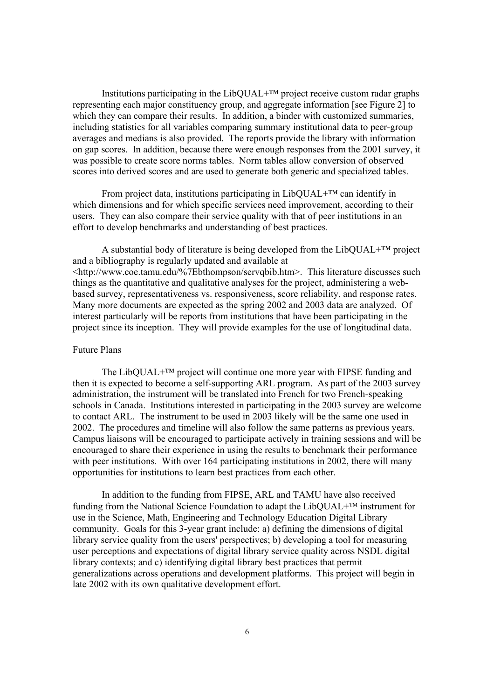Institutions participating in the LibQUAL+™ project receive custom radar graphs representing each major constituency group, and aggregate information [see Figure 2] to which they can compare their results. In addition, a binder with customized summaries, including statistics for all variables comparing summary institutional data to peer-group averages and medians is also provided. The reports provide the library with information on gap scores. In addition, because there were enough responses from the 2001 survey, it was possible to create score norms tables. Norm tables allow conversion of observed scores into derived scores and are used to generate both generic and specialized tables.

From project data, institutions participating in LibQUAL $+^{TM}$  can identify in which dimensions and for which specific services need improvement, according to their users. They can also compare their service quality with that of peer institutions in an effort to develop benchmarks and understanding of best practices.

 A substantial body of literature is being developed from the LibQUAL+™ project and a bibliography is regularly updated and available at <http://www.coe.tamu.edu/%7Ebthompson/servqbib.htm>. This literature discusses such things as the quantitative and qualitative analyses for the project, administering a webbased survey, representativeness vs. responsiveness, score reliability, and response rates. Many more documents are expected as the spring 2002 and 2003 data are analyzed. Of interest particularly will be reports from institutions that have been participating in the project since its inception. They will provide examples for the use of longitudinal data.

#### Future Plans

 The LibQUAL+™ project will continue one more year with FIPSE funding and then it is expected to become a self-supporting ARL program. As part of the 2003 survey administration, the instrument will be translated into French for two French-speaking schools in Canada. Institutions interested in participating in the 2003 survey are welcome to contact ARL. The instrument to be used in 2003 likely will be the same one used in 2002. The procedures and timeline will also follow the same patterns as previous years. Campus liaisons will be encouraged to participate actively in training sessions and will be encouraged to share their experience in using the results to benchmark their performance with peer institutions. With over 164 participating institutions in 2002, there will many opportunities for institutions to learn best practices from each other.

In addition to the funding from FIPSE, ARL and TAMU have also received funding from the National Science Foundation to adapt the  $LibOUAL + T^M$  instrument for use in the Science, Math, Engineering and Technology Education Digital Library community. Goals for this 3-year grant include: a) defining the dimensions of digital library service quality from the users' perspectives; b) developing a tool for measuring user perceptions and expectations of digital library service quality across NSDL digital library contexts; and c) identifying digital library best practices that permit generalizations across operations and development platforms. This project will begin in late 2002 with its own qualitative development effort.